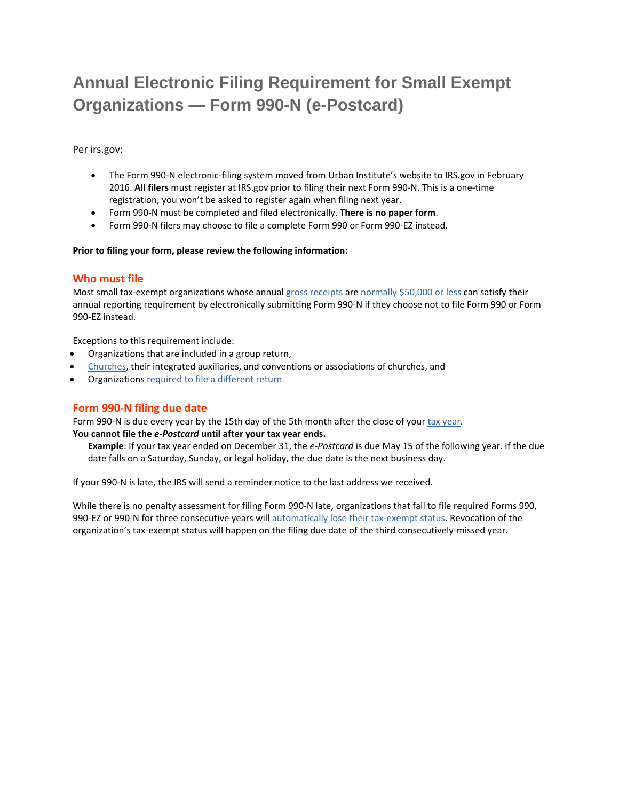# **Annual Electronic Filing Requirement for Small Exempt Organizations — Form 990-N (e-Postcard)**

Per irs.gov:

- The Form 990-N electronic-filing system moved from Urban Institute's website to IRS.gov in February 2016. **All filers** must register at IRS.gov prior to filing their next Form 990‐N. This is a one‐time registration; you won't be asked to register again when filing next year.
- Form 990‐N must be completed and filed electronically. **There is no paper form**.
- Form 990‐N filers may choose to file a complete Form 990 or Form 990‐EZ instead.

#### **Prior to filing your form, please review the following information:**

# **Who must file**

Most small tax-exempt organizations whose annual gross receipts are normally \$50,000 or less can satisfy their annual reporting requirement by electronically submitting Form 990‐N if they choose not to file Form 990 or Form 990‐EZ instead.

Exceptions to this requirement include:

- Organizations that are included in a group return,
- Churches, their integrated auxiliaries, and conventions or associations of churches, and
- Organizations required to file a different return

# **Form 990‐N filing due date**

Form 990-N is due every year by the 15th day of the 5th month after the close of your tax year. **You cannot file the** *e‐Postcard* **until after your tax year ends.**

**Example**: If your tax year ended on December 31, the *e‐Postcard* is due May 15 of the following year. If the due date falls on a Saturday, Sunday, or legal holiday, the due date is the next business day.

If your 990‐N is late, the IRS will send a reminder notice to the last address we received.

While there is no penalty assessment for filing Form 990-N late, organizations that fail to file required Forms 990, 990-EZ or 990-N for three consecutive years will automatically lose their tax-exempt status. Revocation of the organization's tax‐exempt status will happen on the filing due date of the third consecutively‐missed year.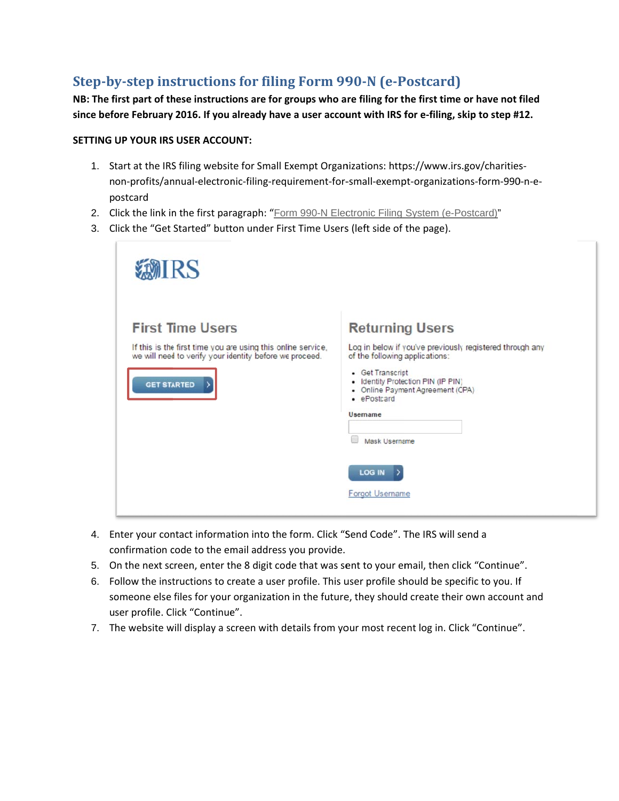# Step-by-step instructions for filing Form 990-N (e-Postcard)

NB: The first part of these instructions are for groups who are filing for the first time or have not filed since before February 2016. If you already have a user account with IRS for e-filing, skip to step #12.

### **SETTING UP YOUR IRS USER ACCOUNT:**

- 1. Start at the IRS filing website for Small Exempt Organizations: https://www.irs.gov/charitiesnon-profits/annual-electronic-filing-requirement-for-small-exempt-organizations-form-990-n-epostcard
- 2. Click the link in the first paragraph: "Form 990-N Electronic Filing System (e-Postcard)"
- 3. Click the "Get Started" button under First Time Users (left side of the page).

| MIRS                                                                                                                                                                     |                                                                                                                                                                                                                                                                                                                |
|--------------------------------------------------------------------------------------------------------------------------------------------------------------------------|----------------------------------------------------------------------------------------------------------------------------------------------------------------------------------------------------------------------------------------------------------------------------------------------------------------|
| <b>First Time Users</b><br>If this is the first time you are using this online service,<br>we will need to verify your identity before we proceed.<br><b>GET STARTED</b> | <b>Returning Users</b><br>Log in below if you've previously registered through any<br>of the following applications:<br>• Get Transcript<br>• Identity Protection PIN (IP PIN)<br>• Online Payment Agreement (CPA)<br>· ePostcard<br><b>Username</b><br>图<br>Mask Username<br>LOG IN<br><b>Forgot Username</b> |

- 4. Enter your contact information into the form. Click "Send Code". The IRS will send a confirmation code to the email address you provide.
- 5. On the next screen, enter the 8 digit code that was sent to your email, then click "Continue".
- 6. Follow the instructions to create a user profile. This user profile should be specific to you. If someone else files for your organization in the future, they should create their own account and user profile. Click "Continue".
- 7. The website will display a screen with details from your most recent log in. Click "Continue".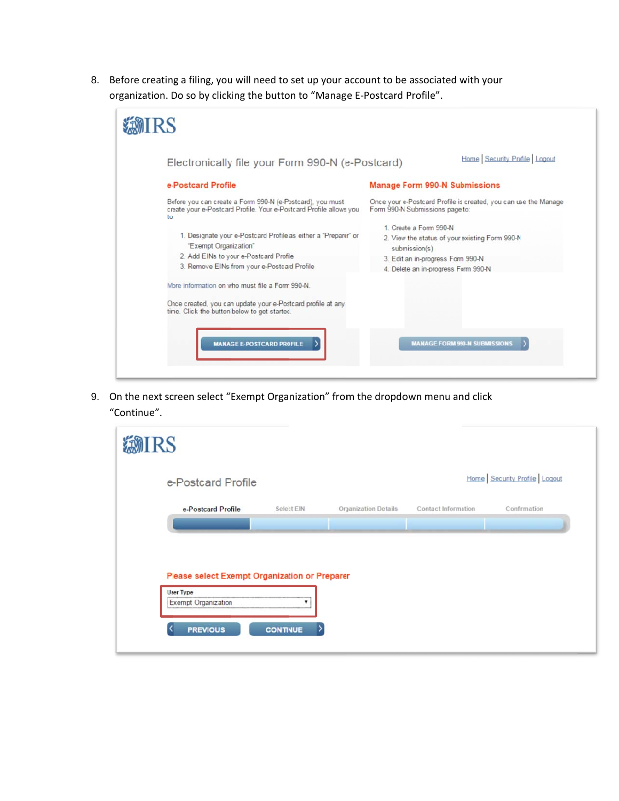8. Before creating a filing, you will need to set up your account to be associated with your organization. Do so by clicking the button to "Manage E-Postcard Profile".



9. On the next screen select "Exempt Organization" from the dropdown menu and click "Continue".

| <b>@IRS</b>                                    |                 |                      |                     |                              |  |
|------------------------------------------------|-----------------|----------------------|---------------------|------------------------------|--|
| e-Postcard Profile                             |                 |                      |                     | Home Security Profile Logout |  |
| e-Postcard Profile                             | Select EIN      | Organization Details | Contact Information | Confirmation                 |  |
|                                                |                 |                      |                     |                              |  |
| Please select Exempt Organization or Preparer  |                 |                      |                     |                              |  |
| <b>User Type</b><br><b>Exempt Organization</b> | ۰               |                      |                     |                              |  |
| <b>PREVIOUS</b>                                | <b>CONTINUE</b> |                      |                     |                              |  |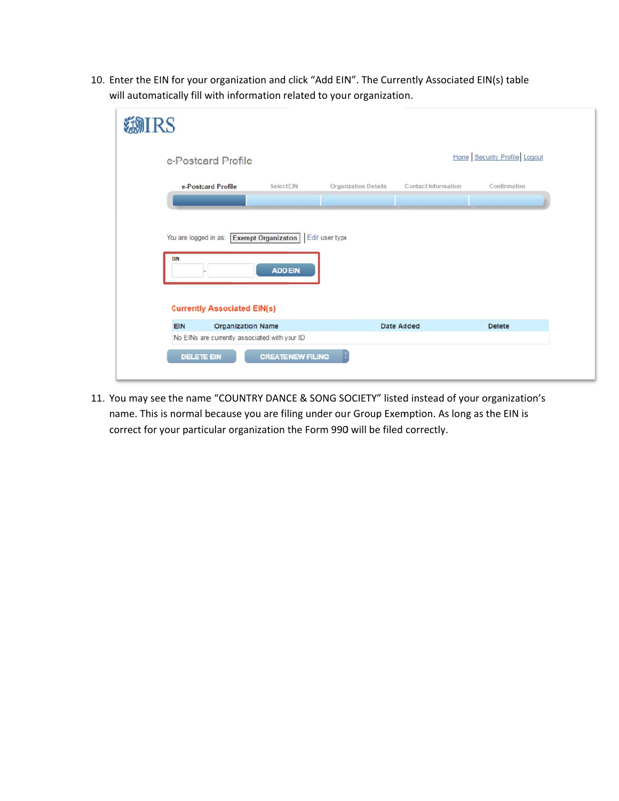10. Enter the EIN for your organization and click "Add EIN". The Currently Associated EIN(s) table will automatically fill with information related to your organization.

| IRS                                                                                                     |                |                             |                     |                              |
|---------------------------------------------------------------------------------------------------------|----------------|-----------------------------|---------------------|------------------------------|
| e-Postcard Profile                                                                                      |                |                             |                     | Home Security Profile Logout |
| e-Postcard Profile                                                                                      | Select EIN     | <b>Organization Details</b> | Contact Information | Confirmation                 |
| You are logged in as: Exempt Organization   Edit user type<br>EIN<br><b>Currently Associated EIN(s)</b> | <b>ADD EIN</b> |                             | Date Added          | <b>Delete</b>                |
| EIN<br><b>Organization Name</b>                                                                         |                |                             |                     |                              |
| No EINs are currently associated with your ID                                                           |                |                             |                     |                              |

11. You may see the name "COUNTRY DANCE & SONG SOCIETY" listed instead of your organization's name. This is normal because you are filing under our Group Exemption. As long as the EIN is correct for your particular organization the Form 990 will be filed correctly.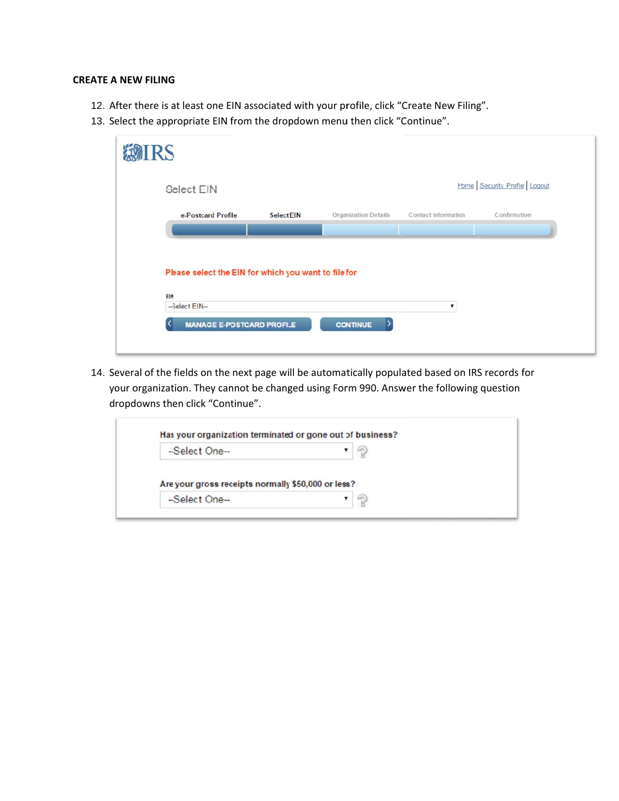# **CREATE A NEW FILING**

- 12. After there is at least one EIN associated with your profile, click "Create New Filing".
- 13. Select the appropriate EIN from the dropdown menu then click "Continue".

| <b>Select EIN</b>                                    |                   |                      |                     | Home Security Profile Logout |
|------------------------------------------------------|-------------------|----------------------|---------------------|------------------------------|
| e-Postcard Profile                                   | <b>Select EIN</b> | Organization Details | Contact Information | Confirmation                 |
|                                                      |                   |                      |                     |                              |
|                                                      |                   |                      |                     |                              |
|                                                      |                   |                      |                     |                              |
|                                                      |                   |                      |                     |                              |
|                                                      |                   |                      |                     |                              |
| Please select the EIN for which you want to file for |                   |                      |                     |                              |
| EIN                                                  |                   |                      |                     |                              |

14. Several of the fields on the next page will be automatically populated based on IRS records for your organization. They cannot be changed using Form 990. Answer the following question dropdowns then click "Continue".

| -Select One-                                       |  |
|----------------------------------------------------|--|
|                                                    |  |
|                                                    |  |
| Are your gross receipts normally \$50,000 or less? |  |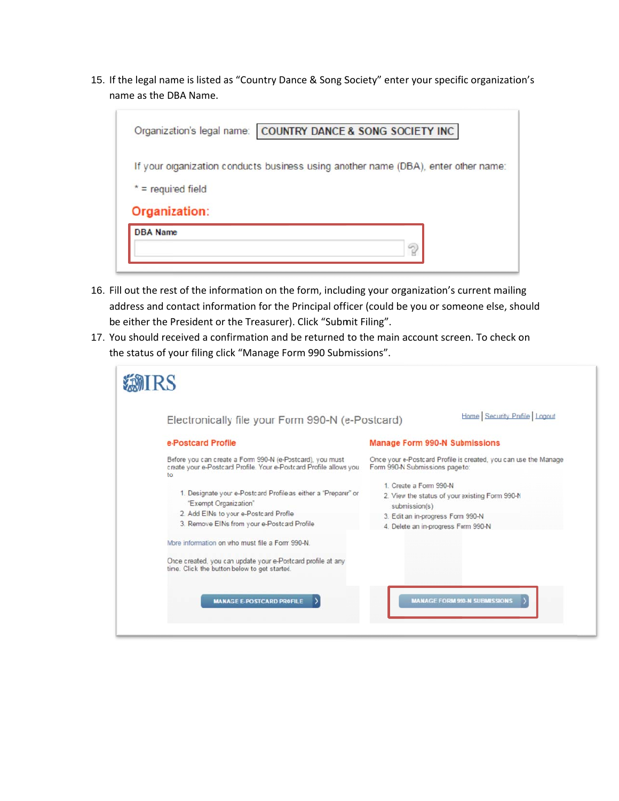15. If the legal name is listed as "Country Dance & Song Society" enter your specific organization's name as the DBA Name.

|                      | Organization's legal name: COUNTRY DANCE & SONG SOCIETY INC                        |
|----------------------|------------------------------------------------------------------------------------|
|                      | If your organization conducts business using another name (DBA), enter other name: |
| $* =$ required field |                                                                                    |
| Organization:        |                                                                                    |
| <b>DBA</b> Name      | ?                                                                                  |

- 16. Fill out the rest of the information on the form, including your organization's current mailing address and contact information for the Principal officer (could be you or someone else, should be either the President or the Treasurer). Click "Submit Filing".
- 17. You should received a confirmation and be returned to the main account screen. To check on the status of your filing click "Manage Form 990 Submissions".

| Electronically file your Form 990-N (e-Postcard)                                                                                                                                 | Home Security Profile Logout                                                                                                                                          |
|----------------------------------------------------------------------------------------------------------------------------------------------------------------------------------|-----------------------------------------------------------------------------------------------------------------------------------------------------------------------|
| e-Postcard Profile                                                                                                                                                               | <b>Manage Form 990-N Submissions</b>                                                                                                                                  |
| Before you can create a Form 990-N (e-Postcard), you must<br>create your e-Postcard Profile. Your e-Postcard Profile allows you<br>to                                            | Once your e-Postcard Profile is created, you can use the Manage<br>Form 990-N Submissions page to:                                                                    |
| 1. Designate your e-Postcard Profile as either a "Preparer" or<br>"Exempt Organization"<br>2. Add EINs to your e-Postcard Profile<br>3. Remove EINs from your e-Postcard Profile | 1. Create a Form 990-N<br>2. View the status of your existing Form 990-N<br>submission(s)<br>3. Edit an in-progress Form 990-N<br>4. Delete an in-progress Form 990-N |
| More information on who must file a Form 990-N.                                                                                                                                  |                                                                                                                                                                       |
| Once created, you can update your e-Postcard profile at any<br>time. Click the button below to get started.                                                                      |                                                                                                                                                                       |